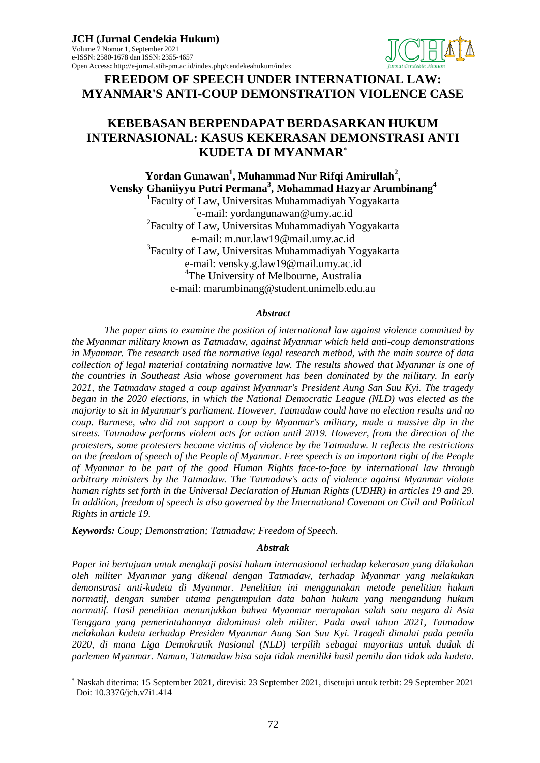

**FREEDOM OF SPEECH UNDER INTERNATIONAL LAW: MYANMAR'S ANTI-COUP DEMONSTRATION VIOLENCE CASE**

# **KEBEBASAN BERPENDAPAT BERDASARKAN HUKUM INTERNASIONAL: KASUS KEKERASAN DEMONSTRASI ANTI KUDETA DI MYANMAR**

**Yordan Gunawan<sup>1</sup> , Muhammad Nur Rifqi Amirullah<sup>2</sup> , Vensky Ghaniiyyu Putri Permana<sup>3</sup> , Mohammad Hazyar Arumbinang<sup>4</sup>** 1 Faculty of Law, Universitas Muhammadiyah Yogyakarta \* e-mail: yordangunawan@umy.ac.id 2 Faculty of Law, Universitas Muhammadiyah Yogyakarta e-mail: m.nur.law19@mail.umy.ac.id <sup>3</sup>Faculty of Law, Universitas Muhammadiyah Yogyakarta e-mail: vensky.g.law19@mail.umy.ac.id 4 The University of Melbourne, Australia e-mail: marumbinang@student.unimelb.edu.au

#### *Abstract*

*The paper aims to examine the position of international law against violence committed by the Myanmar military known as Tatmadaw, against Myanmar which held anti-coup demonstrations in Myanmar. The research used the normative legal research method, with the main source of data collection of legal material containing normative law. The results showed that Myanmar is one of the countries in Southeast Asia whose government has been dominated by the military. In early 2021, the Tatmadaw staged a coup against Myanmar's President Aung San Suu Kyi. The tragedy began in the 2020 elections, in which the National Democratic League (NLD) was elected as the majority to sit in Myanmar's parliament. However, Tatmadaw could have no election results and no coup. Burmese, who did not support a coup by Myanmar's military, made a massive dip in the streets. Tatmadaw performs violent acts for action until 2019. However, from the direction of the protesters, some protesters became victims of violence by the Tatmadaw. It reflects the restrictions on the freedom of speech of the People of Myanmar. Free speech is an important right of the People of Myanmar to be part of the good Human Rights face-to-face by international law through arbitrary ministers by the Tatmadaw. The Tatmadaw's acts of violence against Myanmar violate human rights set forth in the Universal Declaration of Human Rights (UDHR) in articles 19 and 29. In addition, freedom of speech is also governed by the International Covenant on Civil and Political Rights in article 19.*

*Keywords: Coup; Demonstration; Tatmadaw; Freedom of Speech.*

 $\overline{a}$ 

### *Abstrak*

*Paper ini bertujuan untuk mengkaji posisi hukum internasional terhadap kekerasan yang dilakukan oleh militer Myanmar yang dikenal dengan Tatmadaw, terhadap Myanmar yang melakukan demonstrasi anti-kudeta di Myanmar. Penelitian ini menggunakan metode penelitian hukum normatif, dengan sumber utama pengumpulan data bahan hukum yang mengandung hukum normatif. Hasil penelitian menunjukkan bahwa Myanmar merupakan salah satu negara di Asia Tenggara yang pemerintahannya didominasi oleh militer. Pada awal tahun 2021, Tatmadaw melakukan kudeta terhadap Presiden Myanmar Aung San Suu Kyi. Tragedi dimulai pada pemilu 2020, di mana Liga Demokratik Nasional (NLD) terpilih sebagai mayoritas untuk duduk di parlemen Myanmar. Namun, Tatmadaw bisa saja tidak memiliki hasil pemilu dan tidak ada kudeta.* 

Naskah diterima: 15 September 2021, direvisi: 23 September 2021, disetujui untuk terbit: 29 September 2021 Doi: 10.3376/jch.v7i1.414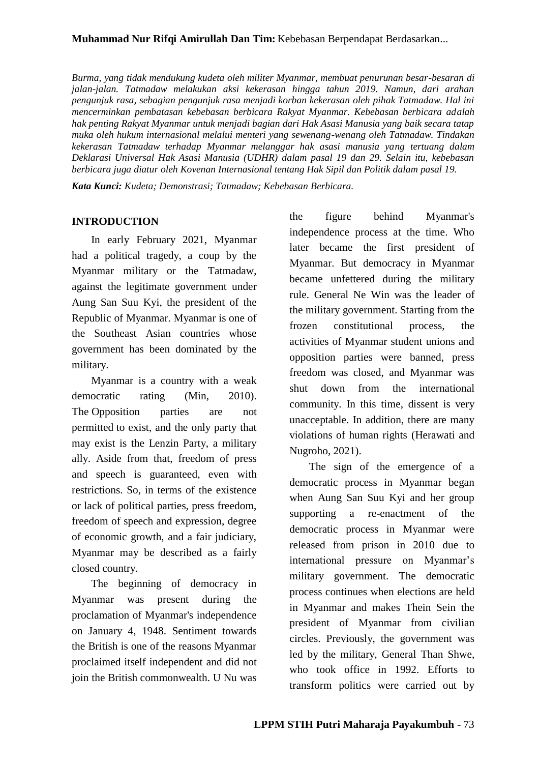### **Muhammad Nur Rifqi Amirullah Dan Tim:** Kebebasan Berpendapat Berdasarkan...

*Burma, yang tidak mendukung kudeta oleh militer Myanmar, membuat penurunan besar-besaran di jalan-jalan. Tatmadaw melakukan aksi kekerasan hingga tahun 2019. Namun, dari arahan pengunjuk rasa, sebagian pengunjuk rasa menjadi korban kekerasan oleh pihak Tatmadaw. Hal ini mencerminkan pembatasan kebebasan berbicara Rakyat Myanmar. Kebebasan berbicara adalah hak penting Rakyat Myanmar untuk menjadi bagian dari Hak Asasi Manusia yang baik secara tatap muka oleh hukum internasional melalui menteri yang sewenang-wenang oleh Tatmadaw. Tindakan kekerasan Tatmadaw terhadap Myanmar melanggar hak asasi manusia yang tertuang dalam Deklarasi Universal Hak Asasi Manusia (UDHR) dalam pasal 19 dan 29. Selain itu, kebebasan berbicara juga diatur oleh Kovenan Internasional tentang Hak Sipil dan Politik dalam pasal 19.*

*Kata Kunci: Kudeta; Demonstrasi; Tatmadaw; Kebebasan Berbicara.*

### **INTRODUCTION**

In early February 2021, Myanmar had a political tragedy, a coup by the Myanmar military or the Tatmadaw, against the legitimate government under Aung San Suu Kyi, the president of the Republic of Myanmar. Myanmar is one of the Southeast Asian countries whose government has been dominated by the military.

Myanmar is a country with a weak democratic rating (Min, 2010). The Opposition parties are not permitted to exist, and the only party that may exist is the Lenzin Party, a military ally. Aside from that, freedom of press and speech is guaranteed, even with restrictions. So, in terms of the existence or lack of political parties, press freedom, freedom of speech and expression, degree of economic growth, and a fair judiciary, Myanmar may be described as a fairly closed country.

The beginning of democracy in Myanmar was present during the proclamation of Myanmar's independence on January 4, 1948. Sentiment towards the British is one of the reasons Myanmar proclaimed itself independent and did not join the British commonwealth. U Nu was

the figure behind Myanmar's independence process at the time. Who later became the first president of Myanmar. But democracy in Myanmar became unfettered during the military rule. General Ne Win was the leader of the military government. Starting from the frozen constitutional process, the activities of Myanmar student unions and opposition parties were banned, press freedom was closed, and Myanmar was shut down from the international community. In this time, dissent is very unacceptable. In addition, there are many violations of human rights (Herawati and Nugroho, 2021).

The sign of the emergence of a democratic process in Myanmar began when Aung San Suu Kyi and her group supporting a re-enactment of the democratic process in Myanmar were released from prison in 2010 due to international pressure on Myanmar's military government. The democratic process continues when elections are held in Myanmar and makes Thein Sein the president of Myanmar from civilian circles. Previously, the government was led by the military, General Than Shwe, who took office in 1992. Efforts to transform politics were carried out by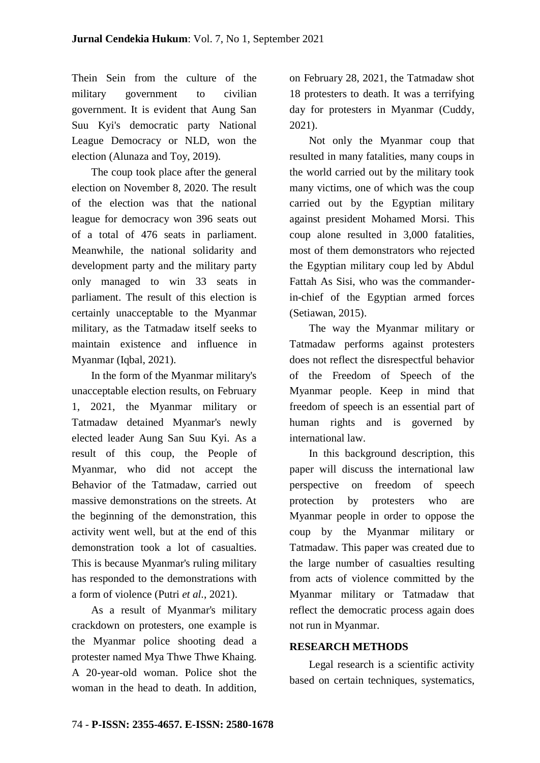Thein Sein from the culture of the military government to civilian government. It is evident that Aung San Suu Kyi's democratic party National League Democracy or NLD, won the election (Alunaza and Toy, 2019).

The coup took place after the general election on November 8, 2020. The result of the election was that the national league for democracy won 396 seats out of a total of 476 seats in parliament. Meanwhile, the national solidarity and development party and the military party only managed to win 33 seats in parliament. The result of this election is certainly unacceptable to the Myanmar military, as the Tatmadaw itself seeks to maintain existence and influence in Myanmar (Iqbal, 2021).

In the form of the Myanmar military's unacceptable election results, on February 1, 2021, the Myanmar military or Tatmadaw detained Myanmar's newly elected leader Aung San Suu Kyi. As a result of this coup, the People of Myanmar, who did not accept the Behavior of the Tatmadaw, carried out massive demonstrations on the streets. At the beginning of the demonstration, this activity went well, but at the end of this demonstration took a lot of casualties. This is because Myanmar's ruling military has responded to the demonstrations with a form of violence (Putri *et al.*, 2021).

As a result of Myanmar's military crackdown on protesters, one example is the Myanmar police shooting dead a protester named Mya Thwe Thwe Khaing. A 20-year-old woman. Police shot the woman in the head to death. In addition, on February 28, 2021, the Tatmadaw shot 18 protesters to death. It was a terrifying day for protesters in Myanmar (Cuddy, 2021).

Not only the Myanmar coup that resulted in many fatalities, many coups in the world carried out by the military took many victims, one of which was the coup carried out by the Egyptian military against president Mohamed Morsi. This coup alone resulted in 3,000 fatalities, most of them demonstrators who rejected the Egyptian military coup led by Abdul Fattah As Sisi, who was the commanderin-chief of the Egyptian armed forces (Setiawan, 2015).

The way the Myanmar military or Tatmadaw performs against protesters does not reflect the disrespectful behavior of the Freedom of Speech of the Myanmar people. Keep in mind that freedom of speech is an essential part of human rights and is governed by international law.

In this background description, this paper will discuss the international law perspective on freedom of speech protection by protesters who are Myanmar people in order to oppose the coup by the Myanmar military or Tatmadaw. This paper was created due to the large number of casualties resulting from acts of violence committed by the Myanmar military or Tatmadaw that reflect the democratic process again does not run in Myanmar.

## **RESEARCH METHODS**

Legal research is a scientific activity based on certain techniques, systematics,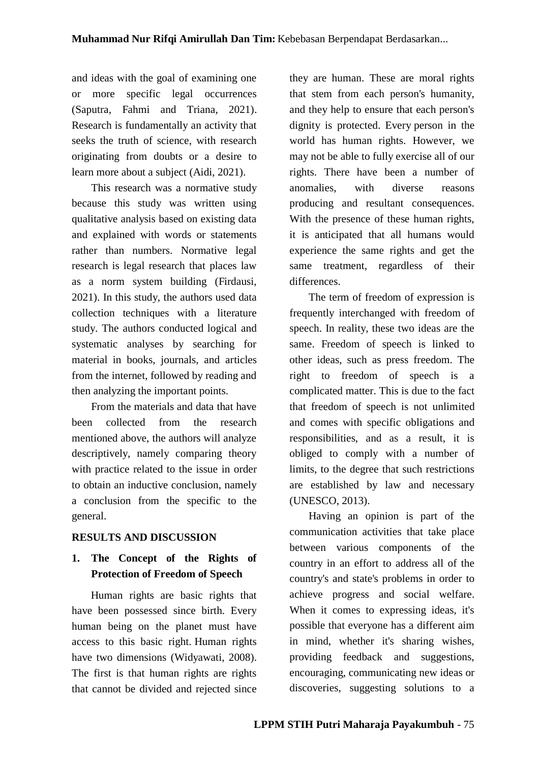and ideas with the goal of examining one or more specific legal occurrences (Saputra, Fahmi and Triana, 2021). Research is fundamentally an activity that seeks the truth of science, with research originating from doubts or a desire to learn more about a subject (Aidi, 2021).

This research was a normative study because this study was written using qualitative analysis based on existing data and explained with words or statements rather than numbers. Normative legal research is legal research that places law as a norm system building (Firdausi, 2021). In this study, the authors used data collection techniques with a literature study. The authors conducted logical and systematic analyses by searching for material in books, journals, and articles from the internet, followed by reading and then analyzing the important points.

From the materials and data that have been collected from the research mentioned above, the authors will analyze descriptively, namely comparing theory with practice related to the issue in order to obtain an inductive conclusion, namely a conclusion from the specific to the general.

## **RESULTS AND DISCUSSION**

# **1. The Concept of the Rights of Protection of Freedom of Speech**

Human rights are basic rights that have been possessed since birth. Every human being on the planet must have access to this basic right. Human rights have two dimensions (Widyawati, 2008). The first is that human rights are rights that cannot be divided and rejected since

they are human. These are moral rights that stem from each person's humanity, and they help to ensure that each person's dignity is protected. Every person in the world has human rights. However, we may not be able to fully exercise all of our rights. There have been a number of anomalies, with diverse reasons producing and resultant consequences. With the presence of these human rights, it is anticipated that all humans would experience the same rights and get the same treatment, regardless of their differences.

The term of freedom of expression is frequently interchanged with freedom of speech. In reality, these two ideas are the same. Freedom of speech is linked to other ideas, such as press freedom. The right to freedom of speech is a complicated matter. This is due to the fact that freedom of speech is not unlimited and comes with specific obligations and responsibilities, and as a result, it is obliged to comply with a number of limits, to the degree that such restrictions are established by law and necessary (UNESCO, 2013).

Having an opinion is part of the communication activities that take place between various components of the country in an effort to address all of the country's and state's problems in order to achieve progress and social welfare. When it comes to expressing ideas, it's possible that everyone has a different aim in mind, whether it's sharing wishes, providing feedback and suggestions, encouraging, communicating new ideas or discoveries, suggesting solutions to a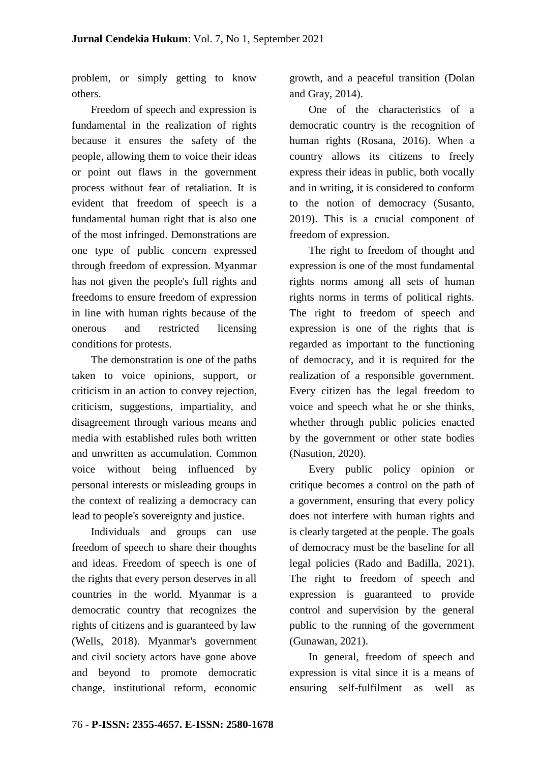problem, or simply getting to know others.

Freedom of speech and expression is fundamental in the realization of rights because it ensures the safety of the people, allowing them to voice their ideas or point out flaws in the government process without fear of retaliation. It is evident that freedom of speech is a fundamental human right that is also one of the most infringed. Demonstrations are one type of public concern expressed through freedom of expression. Myanmar has not given the people's full rights and freedoms to ensure freedom of expression in line with human rights because of the onerous and restricted licensing conditions for protests.

The demonstration is one of the paths taken to voice opinions, support, or criticism in an action to convey rejection, criticism, suggestions, impartiality, and disagreement through various means and media with established rules both written and unwritten as accumulation. Common voice without being influenced by personal interests or misleading groups in the context of realizing a democracy can lead to people's sovereignty and justice.

Individuals and groups can use freedom of speech to share their thoughts and ideas. Freedom of speech is one of the rights that every person deserves in all countries in the world. Myanmar is a democratic country that recognizes the rights of citizens and is guaranteed by law (Wells, 2018). Myanmar's government and civil society actors have gone above and beyond to promote democratic change, institutional reform, economic growth, and a peaceful transition (Dolan and Gray, 2014).

One of the characteristics of a democratic country is the recognition of human rights (Rosana, 2016). When a country allows its citizens to freely express their ideas in public, both vocally and in writing, it is considered to conform to the notion of democracy (Susanto, 2019). This is a crucial component of freedom of expression.

The right to freedom of thought and expression is one of the most fundamental rights norms among all sets of human rights norms in terms of political rights. The right to freedom of speech and expression is one of the rights that is regarded as important to the functioning of democracy, and it is required for the realization of a responsible government. Every citizen has the legal freedom to voice and speech what he or she thinks, whether through public policies enacted by the government or other state bodies (Nasution, 2020).

Every public policy opinion or critique becomes a control on the path of a government, ensuring that every policy does not interfere with human rights and is clearly targeted at the people. The goals of democracy must be the baseline for all legal policies (Rado and Badilla, 2021). The right to freedom of speech and expression is guaranteed to provide control and supervision by the general public to the running of the government (Gunawan, 2021).

In general, freedom of speech and expression is vital since it is a means of ensuring self-fulfilment as well as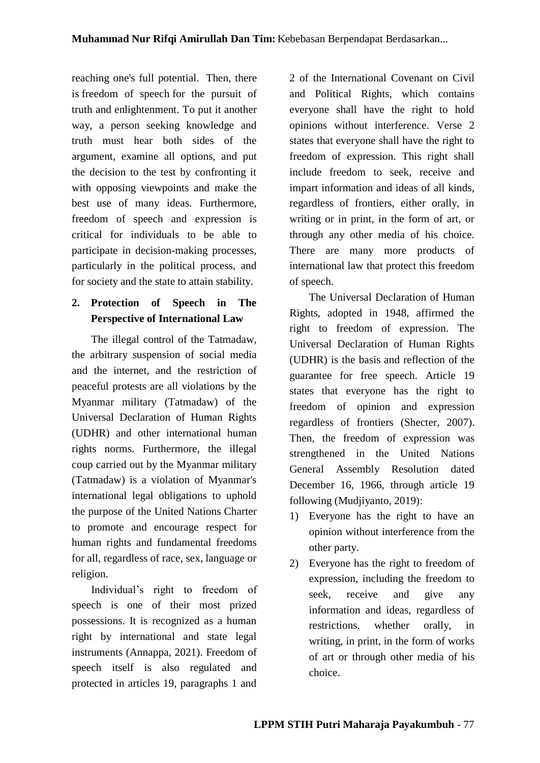reaching one's full potential. Then, there is freedom of speech for the pursuit of truth and enlightenment. To put it another way, a person seeking knowledge and truth must hear both sides of the argument, examine all options, and put the decision to the test by confronting it with opposing viewpoints and make the best use of many ideas. Furthermore, freedom of speech and expression is critical for individuals to be able to participate in decision-making processes, particularly in the political process, and for society and the state to attain stability.

# **2. Protection of Speech in The Perspective of International Law**

The illegal control of the Tatmadaw, the arbitrary suspension of social media and the internet, and the restriction of peaceful protests are all violations by the Myanmar military (Tatmadaw) of the Universal Declaration of Human Rights (UDHR) and other international human rights norms. Furthermore, the illegal coup carried out by the Myanmar military (Tatmadaw) is a violation of Myanmar's international legal obligations to uphold the purpose of the United Nations Charter to promote and encourage respect for human rights and fundamental freedoms for all, regardless of race, sex, language or religion.

Individual's right to freedom of speech is one of their most prized possessions. It is recognized as a human right by international and state legal instruments (Annappa, 2021). Freedom of speech itself is also regulated and protected in articles 19, paragraphs 1 and 2 of the International Covenant on Civil and Political Rights, which contains everyone shall have the right to hold opinions without interference. Verse 2 states that everyone shall have the right to freedom of expression. This right shall include freedom to seek, receive and impart information and ideas of all kinds, regardless of frontiers, either orally, in writing or in print, in the form of art, or through any other media of his choice. There are many more products of international law that protect this freedom of speech.

The Universal Declaration of Human Rights, adopted in 1948, affirmed the right to freedom of expression. The Universal Declaration of Human Rights (UDHR) is the basis and reflection of the guarantee for free speech. Article 19 states that everyone has the right to freedom of opinion and expression regardless of frontiers (Shecter, 2007). Then, the freedom of expression was strengthened in the United Nations General Assembly Resolution dated December 16, 1966, through article 19 following (Mudjiyanto, 2019):

- 1) Everyone has the right to have an opinion without interference from the other party.
- 2) Everyone has the right to freedom of expression, including the freedom to seek, receive and give any information and ideas, regardless of restrictions, whether orally, in writing, in print, in the form of works of art or through other media of his choice.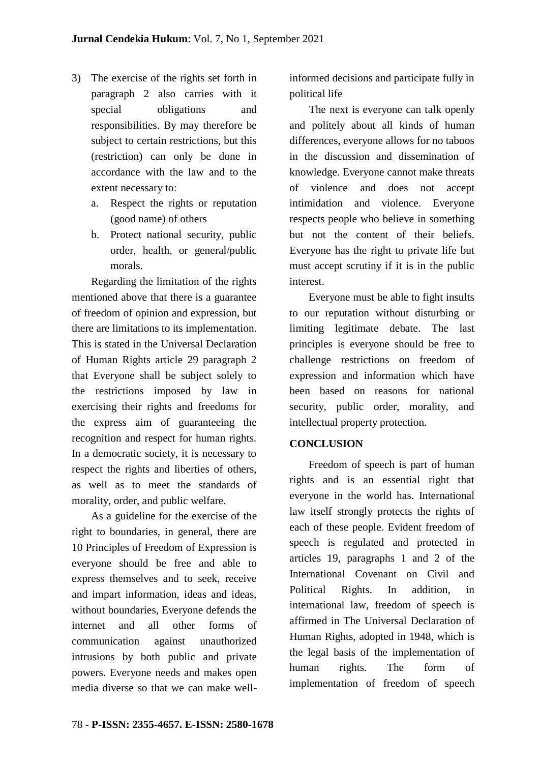- 3) The exercise of the rights set forth in paragraph 2 also carries with it special obligations and responsibilities. By may therefore be subject to certain restrictions, but this (restriction) can only be done in accordance with the law and to the extent necessary to:
	- a. Respect the rights or reputation (good name) of others
	- b. Protect national security, public order, health, or general/public morals.

Regarding the limitation of the rights mentioned above that there is a guarantee of freedom of opinion and expression, but there are limitations to its implementation. This is stated in the Universal Declaration of Human Rights article 29 paragraph 2 that Everyone shall be subject solely to the restrictions imposed by law in exercising their rights and freedoms for the express aim of guaranteeing the recognition and respect for human rights. In a democratic society, it is necessary to respect the rights and liberties of others, as well as to meet the standards of morality, order, and public welfare.

As a guideline for the exercise of the right to boundaries, in general, there are 10 Principles of Freedom of Expression is everyone should be free and able to express themselves and to seek, receive and impart information, ideas and ideas, without boundaries, Everyone defends the internet and all other forms of communication against unauthorized intrusions by both public and private powers. Everyone needs and makes open media diverse so that we can make wellinformed decisions and participate fully in political life

The next is everyone can talk openly and politely about all kinds of human differences, everyone allows for no taboos in the discussion and dissemination of knowledge. Everyone cannot make threats of violence and does not accept intimidation and violence. Everyone respects people who believe in something but not the content of their beliefs. Everyone has the right to private life but must accept scrutiny if it is in the public interest.

Everyone must be able to fight insults to our reputation without disturbing or limiting legitimate debate. The last principles is everyone should be free to challenge restrictions on freedom of expression and information which have been based on reasons for national security, public order, morality, and intellectual property protection.

## **CONCLUSION**

Freedom of speech is part of human rights and is an essential right that everyone in the world has. International law itself strongly protects the rights of each of these people. Evident freedom of speech is regulated and protected in articles 19, paragraphs 1 and 2 of the International Covenant on Civil and Political Rights. In addition, in international law, freedom of speech is affirmed in The Universal Declaration of Human Rights, adopted in 1948, which is the legal basis of the implementation of human rights. The form of implementation of freedom of speech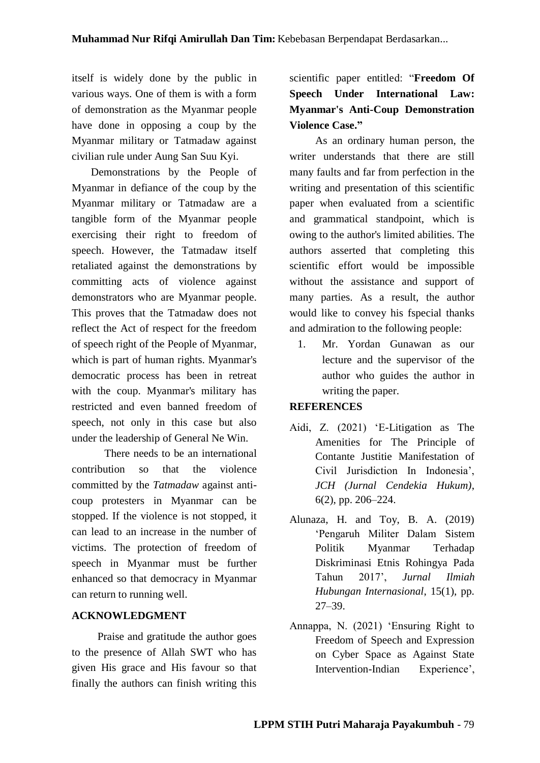itself is widely done by the public in various ways. One of them is with a form of demonstration as the Myanmar people have done in opposing a coup by the Myanmar military or Tatmadaw against civilian rule under Aung San Suu Kyi.

Demonstrations by the People of Myanmar in defiance of the coup by the Myanmar military or Tatmadaw are a tangible form of the Myanmar people exercising their right to freedom of speech. However, the Tatmadaw itself retaliated against the demonstrations by committing acts of violence against demonstrators who are Myanmar people. This proves that the Tatmadaw does not reflect the Act of respect for the freedom of speech right of the People of Myanmar, which is part of human rights. Myanmar's democratic process has been in retreat with the coup. Myanmar's military has restricted and even banned freedom of speech, not only in this case but also under the leadership of General Ne Win.

There needs to be an international contribution so that the violence committed by the *Tatmadaw* against anticoup protesters in Myanmar can be stopped. If the violence is not stopped, it can lead to an increase in the number of victims. The protection of freedom of speech in Myanmar must be further enhanced so that democracy in Myanmar can return to running well.

## **ACKNOWLEDGMENT**

Praise and gratitude the author goes to the presence of Allah SWT who has given His grace and His favour so that finally the authors can finish writing this scientific paper entitled: "**Freedom Of Speech Under International Law: Myanmar's Anti-Coup Demonstration Violence Case."**

As an ordinary human person, the writer understands that there are still many faults and far from perfection in the writing and presentation of this scientific paper when evaluated from a scientific and grammatical standpoint, which is owing to the author's limited abilities. The authors asserted that completing this scientific effort would be impossible without the assistance and support of many parties. As a result, the author would like to convey his fspecial thanks and admiration to the following people:

1. Mr. Yordan Gunawan as our lecture and the supervisor of the author who guides the author in writing the paper.

### **REFERENCES**

- Aidi, Z. (2021) 'E-Litigation as The Amenities for The Principle of Contante Justitie Manifestation of Civil Jurisdiction In Indonesia', *JCH (Jurnal Cendekia Hukum)*, 6(2), pp. 206–224.
- Alunaza, H. and Toy, B. A. (2019) 'Pengaruh Militer Dalam Sistem Politik Myanmar Terhadap Diskriminasi Etnis Rohingya Pada Tahun 2017', *Jurnal Ilmiah Hubungan Internasional*, 15(1), pp. 27–39.
- Annappa, N. (2021) 'Ensuring Right to Freedom of Speech and Expression on Cyber Space as Against State Intervention-Indian Experience',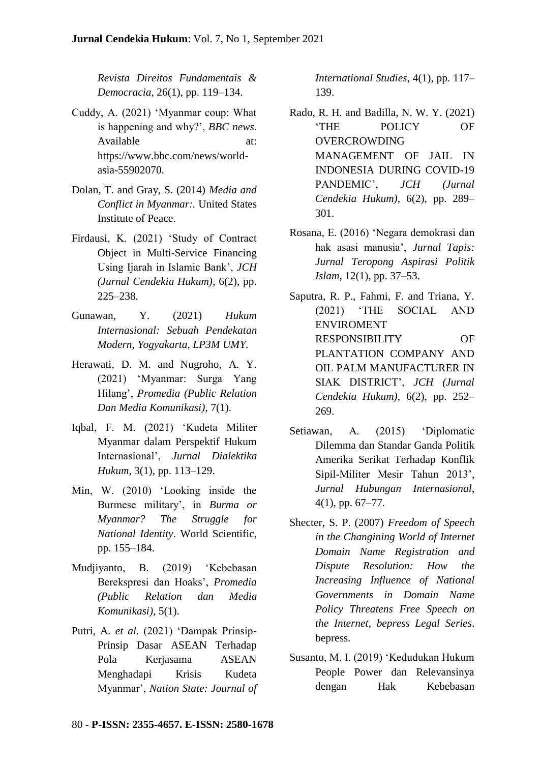*Revista Direitos Fundamentais & Democracia*, 26(1), pp. 119–134.

- Cuddy, A. (2021) 'Myanmar coup: What is happening and why?', *BBC news*. Available at: https://www.bbc.com/news/worldasia-55902070.
- Dolan, T. and Gray, S. (2014) *Media and Conflict in Myanmar:.* United States Institute of Peace.
- Firdausi, K. (2021) 'Study of Contract Object in Multi-Service Financing Using Ijarah in Islamic Bank', *JCH (Jurnal Cendekia Hukum)*, 6(2), pp. 225–238.
- Gunawan, Y. (2021) *Hukum Internasional: Sebuah Pendekatan Modern*, *Yogyakarta, LP3M UMY*.
- Herawati, D. M. and Nugroho, A. Y. (2021) 'Myanmar: Surga Yang Hilang', *Promedia (Public Relation Dan Media Komunikasi)*, 7(1).
- Iqbal, F. M. (2021) 'Kudeta Militer Myanmar dalam Perspektif Hukum Internasional', *Jurnal Dialektika Hukum*, 3(1), pp. 113–129.
- Min, W. (2010) 'Looking inside the Burmese military', in *Burma or Myanmar? The Struggle for National Identity*. World Scientific, pp. 155–184.
- Mudjiyanto, B. (2019) 'Kebebasan Berekspresi dan Hoaks', *Promedia (Public Relation dan Media Komunikasi)*, 5(1).
- Putri, A. *et al.* (2021) 'Dampak Prinsip-Prinsip Dasar ASEAN Terhadap Pola Kerjasama ASEAN Menghadapi Krisis Kudeta Myanmar', *Nation State: Journal of*

*International Studies*, 4(1), pp. 117– 139.

- Rado, R. H. and Badilla, N. W. Y. (2021) 'THE POLICY OF OVERCROWDING MANAGEMENT OF JAIL IN INDONESIA DURING COVID-19 PANDEMIC', *JCH (Jurnal Cendekia Hukum)*, 6(2), pp. 289– 301.
- Rosana, E. (2016) 'Negara demokrasi dan hak asasi manusia', *Jurnal Tapis: Jurnal Teropong Aspirasi Politik Islam*, 12(1), pp. 37–53.
- Saputra, R. P., Fahmi, F. and Triana, Y. (2021) 'THE SOCIAL AND ENVIROMENT RESPONSIBILITY OF PLANTATION COMPANY AND OIL PALM MANUFACTURER IN SIAK DISTRICT', *JCH (Jurnal Cendekia Hukum)*, 6(2), pp. 252– 269.
- Setiawan, A. (2015) 'Diplomatic Dilemma dan Standar Ganda Politik Amerika Serikat Terhadap Konflik Sipil-Militer Mesir Tahun 2013', *Jurnal Hubungan Internasional*, 4(1), pp. 67–77.
- Shecter, S. P. (2007) *Freedom of Speech in the Changining World of Internet Domain Name Registration and Dispute Resolution: How the Increasing Influence of National Governments in Domain Name Policy Threatens Free Speech on the Internet*, *bepress Legal Series*. bepress.
- Susanto, M. I. (2019) 'Kedudukan Hukum People Power dan Relevansinya dengan Hak Kebebasan